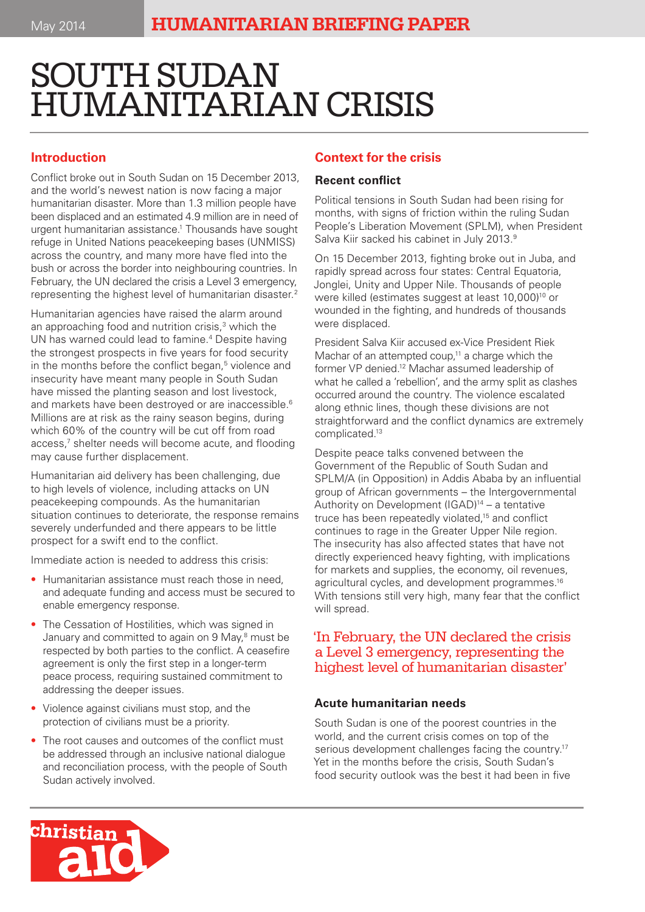# SOUTH SUDAN HUMANITARIAN CRISIS

## **Introduction**

Conflict broke out in South Sudan on 15 December 2013, and the world's newest nation is now facing a major humanitarian disaster. More than 1.3 million people have been displaced and an estimated 4.9 million are in need of urgent humanitarian assistance.1 Thousands have sought refuge in United Nations peacekeeping bases (UNMISS) across the country, and many more have fled into the bush or across the border into neighbouring countries. In February, the UN declared the crisis a Level 3 emergency, representing the highest level of humanitarian disaster.2

Humanitarian agencies have raised the alarm around an approaching food and nutrition crisis,<sup>3</sup> which the UN has warned could lead to famine.<sup>4</sup> Despite having the strongest prospects in five years for food security in the months before the conflict began,<sup>5</sup> violence and insecurity have meant many people in South Sudan have missed the planting season and lost livestock, and markets have been destroyed or are inaccessible.<sup>6</sup> Millions are at risk as the rainy season begins, during which 60% of the country will be cut off from road access,<sup>7</sup> shelter needs will become acute, and flooding may cause further displacement.

Humanitarian aid delivery has been challenging, due to high levels of violence, including attacks on UN peacekeeping compounds. As the humanitarian situation continues to deteriorate, the response remains severely underfunded and there appears to be little prospect for a swift end to the conflict.

Immediate action is needed to address this crisis:

- Humanitarian assistance must reach those in need, and adequate funding and access must be secured to enable emergency response.
- The Cessation of Hostilities, which was signed in January and committed to again on 9 May,<sup>8</sup> must be respected by both parties to the conflict. A ceasefire agreement is only the first step in a longer-term peace process, requiring sustained commitment to addressing the deeper issues.
- Violence against civilians must stop, and the protection of civilians must be a priority.
- The root causes and outcomes of the conflict must be addressed through an inclusive national dialogue and reconciliation process, with the people of South Sudan actively involved.

## **Context for the crisis**

#### **Recent conflict**

Political tensions in South Sudan had been rising for months, with signs of friction within the ruling Sudan People's Liberation Movement (SPLM), when President Salva Kiir sacked his cabinet in July 2013.<sup>9</sup>

On 15 December 2013, fighting broke out in Juba, and rapidly spread across four states: Central Equatoria, Jonglei, Unity and Upper Nile. Thousands of people were killed (estimates suggest at least 10,000)<sup>10</sup> or wounded in the fighting, and hundreds of thousands were displaced.

President Salva Kiir accused ex-Vice President Riek Machar of an attempted coup, $11$  a charge which the former VP denied.12 Machar assumed leadership of what he called a 'rebellion', and the army split as clashes occurred around the country. The violence escalated along ethnic lines, though these divisions are not straightforward and the conflict dynamics are extremely complicated.13

Despite peace talks convened between the Government of the Republic of South Sudan and SPLM/A (in Opposition) in Addis Ababa by an influential group of African governments – the Intergovernmental Authority on Development (IGAD)14 – a tentative truce has been repeatedly violated,15 and conflict continues to rage in the Greater Upper Nile region. The insecurity has also affected states that have not directly experienced heavy fighting, with implications for markets and supplies, the economy, oil revenues, agricultural cycles, and development programmes.<sup>16</sup> With tensions still very high, many fear that the conflict will spread.

## 'In February, the UN declared the crisis a Level 3 emergency, representing the highest level of humanitarian disaster'

#### **Acute humanitarian needs**

South Sudan is one of the poorest countries in the world, and the current crisis comes on top of the serious development challenges facing the country.<sup>17</sup> Yet in the months before the crisis, South Sudan's food security outlook was the best it had been in five

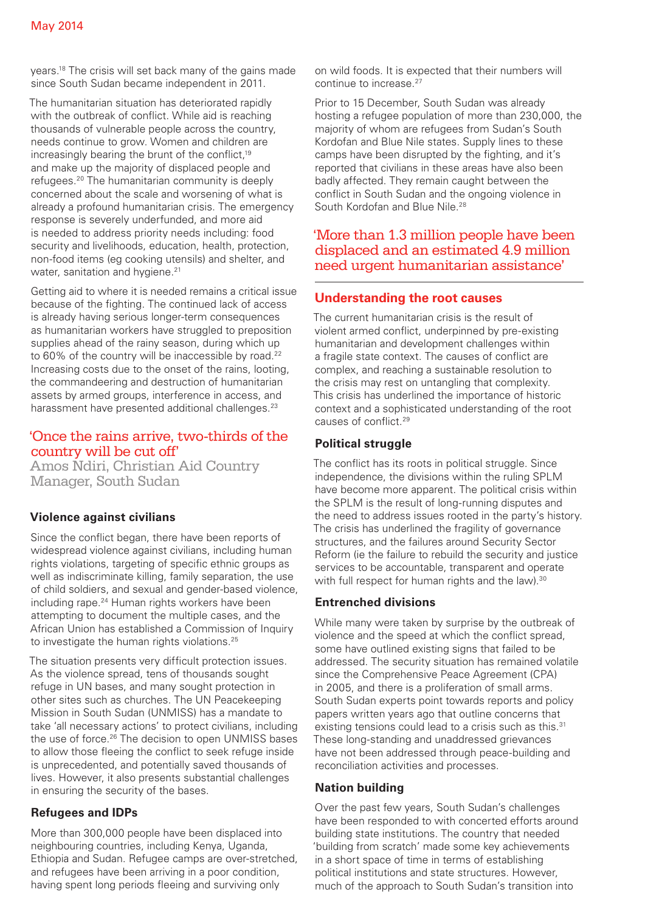years.18 The crisis will set back many of the gains made since South Sudan became independent in 2011.

The humanitarian situation has deteriorated rapidly with the outbreak of conflict. While aid is reaching thousands of vulnerable people across the country, needs continue to grow. Women and children are increasingly bearing the brunt of the conflict,<sup>19</sup> and make up the majority of displaced people and refugees.20 The humanitarian community is deeply concerned about the scale and worsening of what is already a profound humanitarian crisis. The emergency response is severely underfunded, and more aid is needed to address priority needs including: food security and livelihoods, education, health, protection, non-food items (eg cooking utensils) and shelter, and water, sanitation and hygiene.<sup>21</sup>

Getting aid to where it is needed remains a critical issue because of the fighting. The continued lack of access is already having serious longer-term consequences as humanitarian workers have struggled to preposition supplies ahead of the rainy season, during which up to 60% of the country will be inaccessible by road.<sup>22</sup> Increasing costs due to the onset of the rains, looting, the commandeering and destruction of humanitarian assets by armed groups, interference in access, and harassment have presented additional challenges.<sup>23</sup>

## 'Once the rains arrive, two-thirds of the country will be cut off'

Amos Ndiri, Christian Aid Country Manager, South Sudan

## **Violence against civilians**

Since the conflict began, there have been reports of widespread violence against civilians, including human rights violations, targeting of specific ethnic groups as well as indiscriminate killing, family separation, the use of child soldiers, and sexual and gender-based violence, including rape.<sup>24</sup> Human rights workers have been attempting to document the multiple cases, and the African Union has established a Commission of Inquiry to investigate the human rights violations.<sup>25</sup>

The situation presents very difficult protection issues. As the violence spread, tens of thousands sought refuge in UN bases, and many sought protection in other sites such as churches. The UN Peacekeeping Mission in South Sudan (UNMISS) has a mandate to take 'all necessary actions' to protect civilians, including the use of force.<sup>26</sup> The decision to open UNMISS bases to allow those fleeing the conflict to seek refuge inside is unprecedented, and potentially saved thousands of lives. However, it also presents substantial challenges in ensuring the security of the bases.

#### **Refugees and IDPs**

More than 300,000 people have been displaced into neighbouring countries, including Kenya, Uganda, Ethiopia and Sudan. Refugee camps are over-stretched, and refugees have been arriving in a poor condition, having spent long periods fleeing and surviving only

on wild foods. It is expected that their numbers will continue to increase.<sup>27</sup>

Prior to 15 December, South Sudan was already hosting a refugee population of more than 230,000, the majority of whom are refugees from Sudan's South Kordofan and Blue Nile states. Supply lines to these camps have been disrupted by the fighting, and it's reported that civilians in these areas have also been badly affected. They remain caught between the conflict in South Sudan and the ongoing violence in South Kordofan and Blue Nile.<sup>28</sup>

## 'More than 1.3 million people have been displaced and an estimated 4.9 million need urgent humanitarian assistance'

## **Understanding the root causes**

The current humanitarian crisis is the result of violent armed conflict, underpinned by pre-existing humanitarian and development challenges within a fragile state context. The causes of conflict are complex, and reaching a sustainable resolution to the crisis may rest on untangling that complexity. This crisis has underlined the importance of historic context and a sophisticated understanding of the root causes of conflict.29

### **Political struggle**

The conflict has its roots in political struggle. Since independence, the divisions within the ruling SPLM have become more apparent. The political crisis within the SPLM is the result of long-running disputes and the need to address issues rooted in the party's history. The crisis has underlined the fragility of governance structures, and the failures around Security Sector Reform (ie the failure to rebuild the security and justice services to be accountable, transparent and operate with full respect for human rights and the law).<sup>30</sup>

#### **Entrenched divisions**

While many were taken by surprise by the outbreak of violence and the speed at which the conflict spread, some have outlined existing signs that failed to be addressed. The security situation has remained volatile since the Comprehensive Peace Agreement (CPA) in 2005, and there is a proliferation of small arms. South Sudan experts point towards reports and policy papers written years ago that outline concerns that existing tensions could lead to a crisis such as this.<sup>31</sup> These long-standing and unaddressed grievances have not been addressed through peace-building and reconciliation activities and processes.

#### **Nation building**

Over the past few years, South Sudan's challenges have been responded to with concerted efforts around building state institutions. The country that needed 'building from scratch' made some key achievements in a short space of time in terms of establishing political institutions and state structures. However, much of the approach to South Sudan's transition into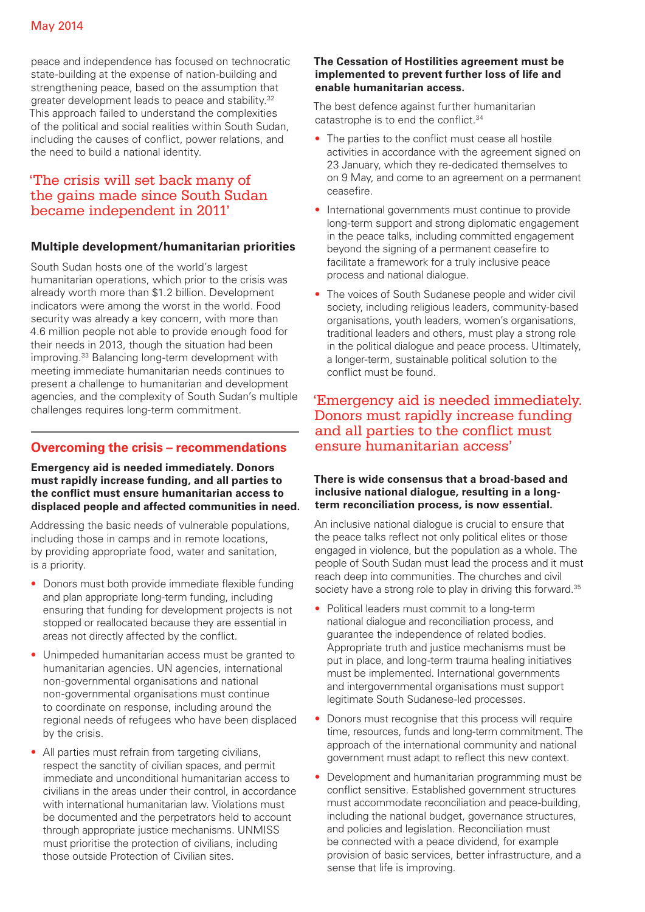peace and independence has focused on technocratic state-building at the expense of nation-building and strengthening peace, based on the assumption that greater development leads to peace and stability.32 This approach failed to understand the complexities of the political and social realities within South Sudan, including the causes of conflict, power relations, and the need to build a national identity.

## 'The crisis will set back many of the gains made since South Sudan became independent in 2011'

#### **Multiple development/humanitarian priorities**

South Sudan hosts one of the world's largest humanitarian operations, which prior to the crisis was already worth more than \$1.2 billion. Development indicators were among the worst in the world. Food security was already a key concern, with more than 4.6 million people not able to provide enough food for their needs in 2013, though the situation had been improving.33 Balancing long-term development with meeting immediate humanitarian needs continues to present a challenge to humanitarian and development agencies, and the complexity of South Sudan's multiple challenges requires long-term commitment.

## **Overcoming the crisis – recommendations**

**Emergency aid is needed immediately. Donors must rapidly increase funding, and all parties to the conflict must ensure humanitarian access to displaced people and affected communities in need.**

Addressing the basic needs of vulnerable populations, including those in camps and in remote locations, by providing appropriate food, water and sanitation, is a priority.

- Donors must both provide immediate flexible funding and plan appropriate long-term funding, including ensuring that funding for development projects is not stopped or reallocated because they are essential in areas not directly affected by the conflict.
- Unimpeded humanitarian access must be granted to humanitarian agencies. UN agencies, international non-governmental organisations and national non-governmental organisations must continue to coordinate on response, including around the regional needs of refugees who have been displaced by the crisis.
- All parties must refrain from targeting civilians, respect the sanctity of civilian spaces, and permit immediate and unconditional humanitarian access to civilians in the areas under their control, in accordance with international humanitarian law. Violations must be documented and the perpetrators held to account through appropriate justice mechanisms. UNMISS must prioritise the protection of civilians, including those outside Protection of Civilian sites.

#### **The Cessation of Hostilities agreement must be implemented to prevent further loss of life and enable humanitarian access.**

The best defence against further humanitarian catastrophe is to end the conflict.<sup>34</sup>

- The parties to the conflict must cease all hostile activities in accordance with the agreement signed on 23 January, which they re-dedicated themselves to on 9 May, and come to an agreement on a permanent ceasefire.
- International governments must continue to provide long-term support and strong diplomatic engagement in the peace talks, including committed engagement beyond the signing of a permanent ceasefire to facilitate a framework for a truly inclusive peace process and national dialogue.
- The voices of South Sudanese people and wider civil society, including religious leaders, community-based organisations, youth leaders, women's organisations, traditional leaders and others, must play a strong role in the political dialogue and peace process. Ultimately, a longer-term, sustainable political solution to the conflict must be found.

## 'Emergency aid is needed immediately. Donors must rapidly increase funding and all parties to the conflict must ensure humanitarian access'

#### **There is wide consensus that a broad-based and inclusive national dialogue, resulting in a longterm reconciliation process, is now essential.**

An inclusive national dialogue is crucial to ensure that the peace talks reflect not only political elites or those engaged in violence, but the population as a whole. The people of South Sudan must lead the process and it must reach deep into communities. The churches and civil society have a strong role to play in driving this forward.<sup>35</sup>

- Political leaders must commit to a long-term national dialogue and reconciliation process, and guarantee the independence of related bodies. Appropriate truth and justice mechanisms must be put in place, and long-term trauma healing initiatives must be implemented. International governments and intergovernmental organisations must support legitimate South Sudanese-led processes.
- Donors must recognise that this process will require time, resources, funds and long-term commitment. The approach of the international community and national government must adapt to reflect this new context.
- Development and humanitarian programming must be conflict sensitive. Established government structures must accommodate reconciliation and peace-building, including the national budget, governance structures, and policies and legislation. Reconciliation must be connected with a peace dividend, for example provision of basic services, better infrastructure, and a sense that life is improving.